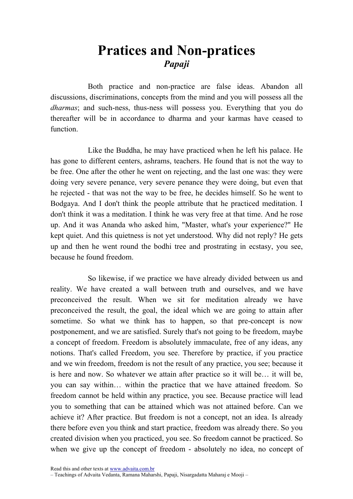## Pratices and Non-pratices Papaji

Both practice and non-practice are false ideas. Abandon all discussions, discriminations, concepts from the mind and you will possess all the dharmas; and such-ness, thus-ness will possess you. Everything that you do thereafter will be in accordance to dharma and your karmas have ceased to function.

Like the Buddha, he may have practiced when he left his palace. He has gone to different centers, ashrams, teachers. He found that is not the way to be free. One after the other he went on rejecting, and the last one was: they were doing very severe penance, very severe penance they were doing, but even that he rejected - that was not the way to be free, he decides himself. So he went to Bodgaya. And I don't think the people attribute that he practiced meditation. I don't think it was a meditation. I think he was very free at that time. And he rose up. And it was Ananda who asked him, "Master, what's your experience?" He kept quiet. And this quietness is not yet understood. Why did not reply? He gets up and then he went round the bodhi tree and prostrating in ecstasy, you see, because he found freedom.

So likewise, if we practice we have already divided between us and reality. We have created a wall between truth and ourselves, and we have preconceived the result. When we sit for meditation already we have preconceived the result, the goal, the ideal which we are going to attain after sometime. So what we think has to happen, so that pre-concept is now postponement, and we are satisfied. Surely that's not going to be freedom, maybe a concept of freedom. Freedom is absolutely immaculate, free of any ideas, any notions. That's called Freedom, you see. Therefore by practice, if you practice and we win freedom, freedom is not the result of any practice, you see; because it is here and now. So whatever we attain after practice so it will be… it will be, you can say within… within the practice that we have attained freedom. So freedom cannot be held within any practice, you see. Because practice will lead you to something that can be attained which was not attained before. Can we achieve it? After practice. But freedom is not a concept, not an idea. Is already there before even you think and start practice, freedom was already there. So you created division when you practiced, you see. So freedom cannot be practiced. So when we give up the concept of freedom - absolutely no idea, no concept of

Read this and other texts at www.advaita.com.br

<sup>–</sup> Teachings of Advaita Vedanta, Ramana Maharshi, Papaji, Nisargadatta Maharaj e Mooji –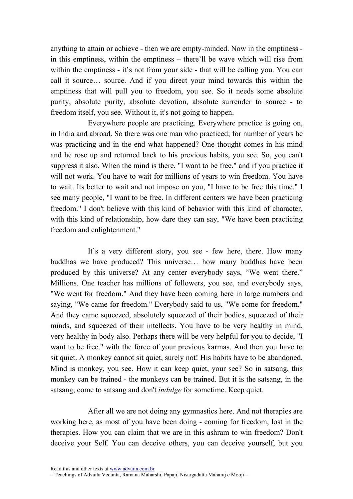anything to attain or achieve - then we are empty-minded. Now in the emptiness in this emptiness, within the emptiness – there'll be wave which will rise from within the emptiness - it's not from your side - that will be calling you. You can call it source… source. And if you direct your mind towards this within the emptiness that will pull you to freedom, you see. So it needs some absolute purity, absolute purity, absolute devotion, absolute surrender to source - to freedom itself, you see. Without it, it's not going to happen.

Everywhere people are practicing. Everywhere practice is going on, in India and abroad. So there was one man who practiced; for number of years he was practicing and in the end what happened? One thought comes in his mind and he rose up and returned back to his previous habits, you see. So, you can't suppress it also. When the mind is there, "I want to be free." and if you practice it will not work. You have to wait for millions of years to win freedom. You have to wait. Its better to wait and not impose on you, "I have to be free this time." I see many people, "I want to be free. In different centers we have been practicing freedom." I don't believe with this kind of behavior with this kind of character, with this kind of relationship, how dare they can say, "We have been practicing freedom and enlightenment."

It's a very different story, you see - few here, there. How many buddhas we have produced? This universe… how many buddhas have been produced by this universe? At any center everybody says, "We went there." Millions. One teacher has millions of followers, you see, and everybody says, "We went for freedom." And they have been coming here in large numbers and saying, "We came for freedom." Everybody said to us, "We come for freedom." And they came squeezed, absolutely squeezed of their bodies, squeezed of their minds, and squeezed of their intellects. You have to be very healthy in mind, very healthy in body also. Perhaps there will be very helpful for you to decide, "I want to be free." with the force of your previous karmas. And then you have to sit quiet. A monkey cannot sit quiet, surely not! His habits have to be abandoned. Mind is monkey, you see. How it can keep quiet, your see? So in satsang, this monkey can be trained - the monkeys can be trained. But it is the satsang, in the satsang, come to satsang and don't *indulge* for sometime. Keep quiet.

After all we are not doing any gymnastics here. And not therapies are working here, as most of you have been doing - coming for freedom, lost in the therapies. How you can claim that we are in this ashram to win freedom? Don't deceive your Self. You can deceive others, you can deceive yourself, but you

<sup>–</sup> Teachings of Advaita Vedanta, Ramana Maharshi, Papaji, Nisargadatta Maharaj e Mooji –